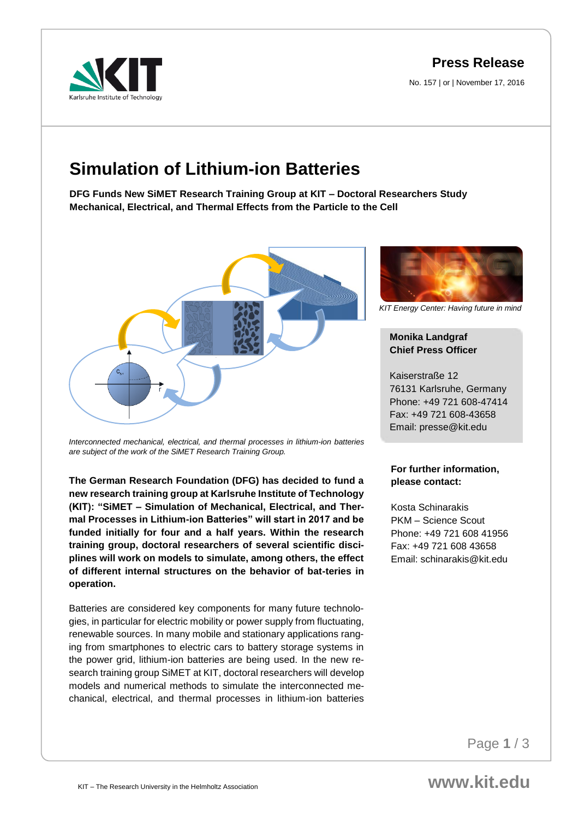**Press Release**

No. 157 | or | November 17, 2016



# **Simulation of Lithium-ion Batteries**

**DFG Funds New SiMET Research Training Group at KIT – Doctoral Researchers Study Mechanical, Electrical, and Thermal Effects from the Particle to the Cell**



*Interconnected mechanical, electrical, and thermal processes in lithium-ion batteries are subject of the work of the SiMET Research Training Group.*

**The German Research Foundation (DFG) has decided to fund a new research training group at Karlsruhe Institute of Technology (KIT): "SiMET – Simulation of Mechanical, Electrical, and Thermal Processes in Lithium-ion Batteries" will start in 2017 and be funded initially for four and a half years. Within the research training group, doctoral researchers of several scientific disciplines will work on models to simulate, among others, the effect of different internal structures on the behavior of bat-teries in operation.**

Batteries are considered key components for many future technologies, in particular for electric mobility or power supply from fluctuating, renewable sources. In many mobile and stationary applications ranging from smartphones to electric cars to battery storage systems in the power grid, lithium-ion batteries are being used. In the new research training group SiMET at KIT, doctoral researchers will develop models and numerical methods to simulate the interconnected mechanical, electrical, and thermal processes in lithium-ion batteries



*KIT Energy Center: Having future in mind*

## **Monika Landgraf Chief Press Officer**

Kaiserstraße 12 76131 Karlsruhe, Germany Phone: +49 721 608-47414 Fax: +49 721 608-43658 Email: presse@kit.edu

### **For further information, please contact:**

Kosta Schinarakis PKM – Science Scout Phone: +49 721 608 41956 Fax: +49 721 608 43658 Email: schinarakis@kit.edu

Page **1** / 3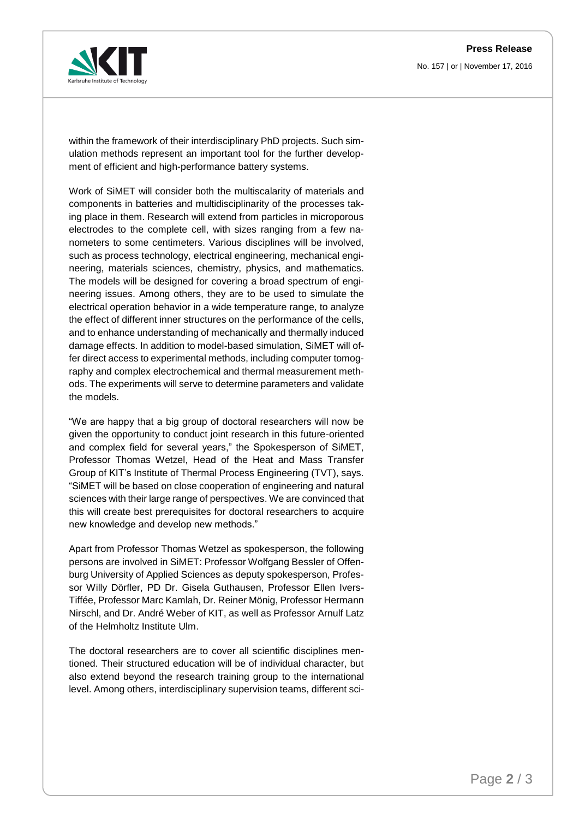No. 157 | or | November 17, 2016



within the framework of their interdisciplinary PhD projects. Such simulation methods represent an important tool for the further development of efficient and high-performance battery systems.

Work of SiMET will consider both the multiscalarity of materials and components in batteries and multidisciplinarity of the processes taking place in them. Research will extend from particles in microporous electrodes to the complete cell, with sizes ranging from a few nanometers to some centimeters. Various disciplines will be involved, such as process technology, electrical engineering, mechanical engineering, materials sciences, chemistry, physics, and mathematics. The models will be designed for covering a broad spectrum of engineering issues. Among others, they are to be used to simulate the electrical operation behavior in a wide temperature range, to analyze the effect of different inner structures on the performance of the cells, and to enhance understanding of mechanically and thermally induced damage effects. In addition to model-based simulation, SiMET will offer direct access to experimental methods, including computer tomography and complex electrochemical and thermal measurement methods. The experiments will serve to determine parameters and validate the models.

"We are happy that a big group of doctoral researchers will now be given the opportunity to conduct joint research in this future-oriented and complex field for several years," the Spokesperson of SiMET, Professor Thomas Wetzel, Head of the Heat and Mass Transfer Group of KIT's Institute of Thermal Process Engineering (TVT), says. "SiMET will be based on close cooperation of engineering and natural sciences with their large range of perspectives. We are convinced that this will create best prerequisites for doctoral researchers to acquire new knowledge and develop new methods."

Apart from Professor Thomas Wetzel as spokesperson, the following persons are involved in SiMET: Professor Wolfgang Bessler of Offenburg University of Applied Sciences as deputy spokesperson, Professor Willy Dörfler, PD Dr. Gisela Guthausen, Professor Ellen Ivers-Tiffée, Professor Marc Kamlah, Dr. Reiner Mönig, Professor Hermann Nirschl, and Dr. André Weber of KIT, as well as Professor Arnulf Latz of the Helmholtz Institute Ulm.

The doctoral researchers are to cover all scientific disciplines mentioned. Their structured education will be of individual character, but also extend beyond the research training group to the international level. Among others, interdisciplinary supervision teams, different sci-